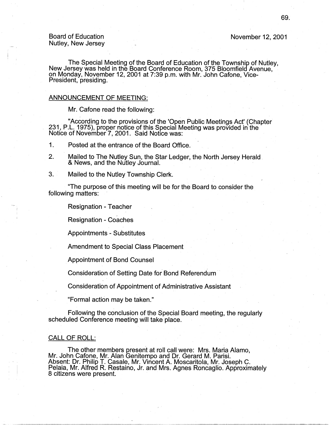-- '

November 12, 2001

The Special Meeting of the Board of Education of the Township of Nutley, New Jersey was held in the Board Conference Room, 375 Bloomfield Avenue, on Monday, November 12, 2001 at 7:39 p.m. with Mr. John Catone, Vice-President, presiding. The contract of the contract of the contract of the contract of the contract of the contract of the contract of the contract of the contract of the contract of the contract of the contract of the cont

#### ANNOUNCEMENT OF MEETING:

Mr. Cafone read the following:

"According to the prbvisions of the 'Open Public Meetings Act' (Chapter 231, P.L. 1975), proper notice of this Special Meeting was provided in the Notice of November 7, 2001. Said Notice was:

1. Posted at the entrance of the Board Office.

- 2. Mailed to The Nutley Sun, the Star Ledger, the North Jersey Herald & News, and the Nutley Journal.
- 3. Mailed to the Nutley Township Clerk.

"The purpose of this meeting will be for the Board to consider the following matters:

Resignation - Teacher

Resignation - Coaches

Appointments - Substitutes

Amendment to Special Class Placement

Appointment of Bond Counsel

Consideration of Setting Date for Bond Referendum -

Consideration of Appointment of Administrative Assistant

"Formal action may be taken."

Following the conclusion of the Special Board meeting, the regularly scheduled Conference meeting will take place.

### CALL OF ROLL:

The other members present at roll call were: Mrs. Maria Alamo, Mr. John Catone, Mr. Alan Genitempo and Dr. Gerard M. Parisi. Absent: Dr. Philip T. Casale, Mr. Vincent A. Moscaritola, Mr. Joseph C. Pelaia, Mr. Alfred R. Restaino, Jr. and Mrs. Agnes Roncaglio. Approximately 8 citizens were present.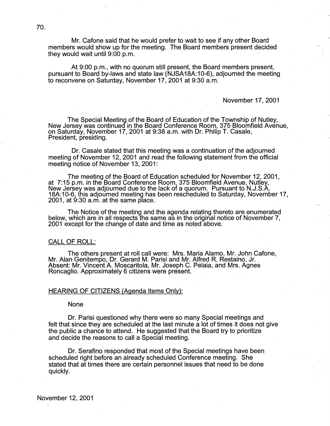Mr. Catone said that he would prefer to wait to see if any other Board members would show up for the meeting. The Board members present decided they would wait until 9:00 p.m.

At 9:00 p.m., with no quorum still present, the Board members present, pursuant to Board by-laws and state law (NJSA18A:10-6), adjourned the meeting to reconvene on Saturday, November 17, 2001 at 9:30 a.m.

#### November 17, 2001

The Special Meeting of the Board of Education of the Township of Nutley, New Jersey was continued in the Board Conference Room, 375 Bloomfield Avenue, on Saturday, November 17, 2001 at 9:38 a.m. with Dr. Philip T. Casale, President, presiding. .

Dr. Casale stated that this meeting was a continuation of the adjourned meeting of November 12, 2001 and read the following statement from the official meeting notice of November 13, 2001:

The meeting of the Board of Education scheduled for November 12, 2001, at 7:15 p.m. in the Board Conference Room, 375 Bloomfield Avenue, Nutley, New Jersey was adjourned due to the lack of a quorum. Pursuant to N.J.S.A. New Jersey was adjourned due to the lack of a quorum. Pursuant to N.J.S.A.<br>18A:10-6, this adjourned meeting has been rescheduled to Saturday, November 17, 2001, at 9:30 a.m. at the same place.

The Notice of the meeting and the agenda relating thereto are enumerated below, which are in all respects the same as in the original notice of November 7, 2001 except for the change of date and time as noted above.

#### CALL OF ROLL:

The others present at roll call were: Mrs. Maria Alamo, Mr. John Cafone, Mr. Alan Genitempo, Dr. Gerard M. Parisi and Mr. Alfred R. Restaino, Jr. Absent: Mr. Vincent A. Moscaritola, Mr. Joseph C. Pelaia, and Mrs. Agnes Roncaglio. Approximately 6 citizens were present. .

# HEARING OF CITIZENS (Agenda Items Only):

None

Dr. Parisi questioned why there were so many Special meetings and felt that since they are scheduled at the last minute a lot of times it does not give the public a chance to attend. He suggested that the Board try to prioritize and decide the reasons to call a Special meeting.

Dr. Serafino responded that most of the Special meetings have been scheduled right before an already scheduled Conference meeting. She stated that at times there are certain personnel issues that need to be done quickly.

November 12, 2001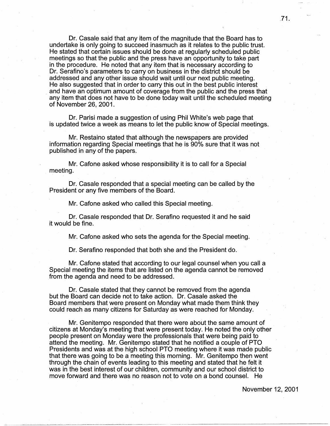Dr. Casale said that any item of the magnitude that the Board has to undertake is only going to succeed inasmuch as it relates to the public trust. He stated that certain issues should be done at regularly scheduled public meetings so that the public and the press have an opportunity to take part in the procedure. He noted that any item that is necessary according to Dr. Serafiho's parameters to carry on business in the district should be addressed and any other issue should wait until our next public meeting. He also suggested that in order to carry this out in the best public interest . and have an optimum amount of coverage from the public and the press that any item that does not have to be done today wait until the scheduled meeting of November 26, 2001. ·

Dr. Parisi made a suggestion of using Phil White's web page that is updated twice a week as means to let the public know of Special meetings.

Mr. Restaino stated that although the newspapers are provided information regarding Special meetings that he is 90% sure that it was not published in any of the papers.

Mr. Catone asked whose responsibility it is to call for a Special meeting.

Dr. Casale responded that a special meeting can be called by the President or any five members of the Board.

Mr. Catone asked who called this Special meeting.

Dr. Casale responded that Dr. Serafino requested it and he said it would be fine.

Mr. Catone asked who sets the agenda for the Special meeting.

Dr. Serafino responded that both she and the President do.

Mr. Catone stated that according to our legal counsel when you call a Special meeting the items that are listed on the agenda cannot be removed from the agenda and need to be addressed.

Dr. Casale stated that they cannot be removed from the agenda but the Board can decide not to take action. Dr. Casale asked the Board members that were present on Monday what made them think they could reach as many citizens for Saturday as were reached for Monday.

Mr. Genitempo responded that there were about the same amount of citizens at Monday's meeting that were present today. He noted the only other people present on Monday were the professionals that were being paid to attend the meeting. Mr. Genitempo stated that he notified a couple of PTO Presidents and was at the high school PTO meeting where it was made public that there was going to be a meeting this morning. Mr. Genitempo then went through the chain of events leading to this meeting and stated that he felt it was in the best interest of our children, community and our school district to move forward and there was no reason not to vote on a bond counsel. He

November 12, 2001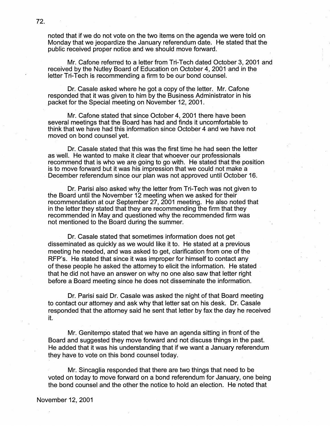noted that if we do not vote on the two items on the agenda we were told on Monday that we jeopardize the January referendum date. He stated that the public received proper notice and we should move forward.

Mr. Catone referred to a letter from Tri-Tech dated October 3, 2001 and received by the Nutley Board of Education on October 4, 2001 and in the letter Tri-Tech is recommending a firm to be our bond counsel.

Dr. Casale asked where he got a copy of the letter. Mr. Catone responded that it was given to him by the Business Administrator in his packet for the Special meeting or November 12, 2001.

Mr. Cafone stated that since October 4, 2001 there have been several meetings that the Board has had and finds it uncomfortable to think that we have had this information since October 4 and we have not moved on bond cpunsel yet.

Dr. Casale stated that this was the first time he had seen the letter as well. He wanted to make it clear that whoever our professionals recommend that is who we are going to go with. He stated that the position is to move forward but it was his impression that we could not make a . December referendum since our plan was not approved until October 16.

Dr. Parisi also asked why the letter from Tri-Tech was not given to the Board until the November 12 meeting when we asked for their recommendation at our September 27, 2001 meeting. He also noted that in the letter they stated that they are recommending the firm that they recommended in May and questioned why the recommended firm was not mentioned to the Board during the summer.

Dr. Casale stated that sometimes information does not get disseminated as quickly as we would like it to. He stated at a previous meeting he needed, and was asked to get, clarification from one of the RFP's. He stated that since it was improper for himself to contact any of these people he asked the attorney to elicit the information. He stated that he did not have an answer on why no one also saw that letter right before a Board meeting since he does not disseminate the information.

Dr. Parisi said Dr. Casale was asked the night of that Board meeting to contact our attorney and ask why that letter sat on his desk. Dr. Casale responded that the attorney said he sent that letter by fax the day he received It. .

Mr. Genitempo stated that we have an agenda sitting in front of the Board and suggested they move forward and not discuss things in the past. He added that it was his understanding that if we want a January referendum they have to vote on this bond counsel today.

Mr. Sincaglia responded that there are two things that need to be voted on today to move forward on a bond referendum for January, one being the bond counsel and the other the notice to hold an election. He noted that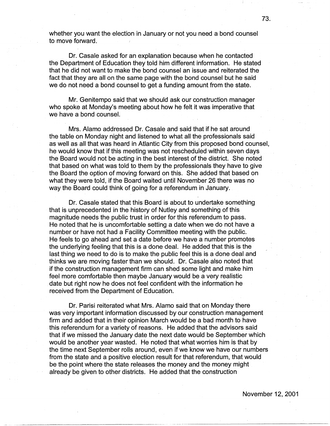whether you want the election in January or not you need a bond counsel to move forward.

Dr. Casale asked for an explanation because when he contacted the Department of Education they told him different information. He stated that he did not want to make the bond counsel an issue and reiterated the fact that they are all on the same page with the bond counsel but he said we do not need a bond counsel to get a funding amount from the state.

Mr. Genitempo said that we should ask our construction manager who spoke at Monday's meeting about how he felt it was imperative that we have a bond counsel.

Mrs. Alamo addressed Dr. Casale and said that if he sat around the table on Monday night and listened to what all the professionals said as well as all that was heard in Atlantic City from this proposed bond counsel, he would know that if this meeting was not rescheduled within seven days the Board would not be acting in the best interest of the district. She noted that based on what was told to them by the professionals they have to give the Board the option of moving forward on this. She added that based on what they were told, if the Board waited until November 26 there was no way the Board could think of going for a referendum in January.

Dr. Casale stated that this Board is about to undertake something that is unprecedented in the history of Nutley and something of this magnitude needs the public trust in order for this referendum to pass. He noted that he is uncomfortable setting a date when we do not have a number or have not had a Facility Committee meeting with the public. He feels to go ahead and set a date before we have a number promotes the underlying feeling that this is a done deal. He added that this is the last thing we need to do is to make the public feel this is a done deal and thinks we are moving faster than we should. Dr. Casale also noted that if the construction management firm can shed some light and make him feel more comfortable then maybe January would be a very realistic date but right now he does not feel confident with the information he received from the Department of Education.

Dr. Parisi reiterated what Mrs. Alamo said that on Monday there was very important information discussed by our construction management firm and added that in their opinion March would be a bad month to have this referendum for a variety of reasons. He added that the advisors said that if we missed the January date the next date would be September which would be another year wasted. He noted that what worries him is that by the time next September rolls around, even if we know we have our numbers from the state and a positive election result for that referendum, that would be the point where the state releases the money and the money might already be given to other districts. He added that the construction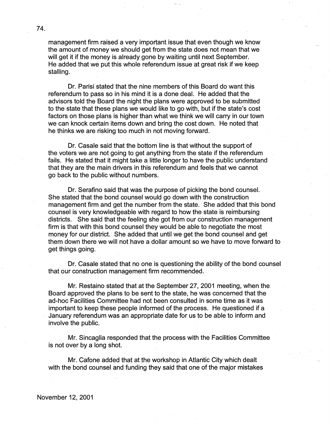management firm raised a very important issue that even though we know the amount of money we should get from the state does not mean that we will get it if the money is already gone by waiting until next September. He added that we put this whole referendum issue at great risk if we keep stalling.

Dr. Parisi stated that the nine members of this Board do want this referendum to pass so in his mind it is a done deal. He added that the advisors told the Board the night the plans were approved to be submitted to the state that these plans we would like to go with, but if the state's cost factors on those plans is higher than what we think we will carry in our town we can knock certain items down and bring the cost down. He noted that he thinks we are risking too much in not moving forward.

Dr. Casale said that the bottom line is that without the support of the voters we are not going to get anything from the state if the referendum fails. He stated that it might take a little longer to have the public understand that they are the main drivers in this referendum and feels that we cannot go back to the public without numbers.

Dr. Serafino said that was the purpose of picking the bond counsel. She stated that the bond counsel would go down with the construction management firm and get the number from the state. · She added that this bond counsel is very knowledgeable with regard to how the state is reimbursing districts. She said that the feeling she got from our construction management firm is that with this bond counsel they would be able to negotiate the most money for our district. She added that until we get the bond counsel and get them down there we will not have a dollar amount so we have to move forward to get things going.

Dr. Casale stated that no one is questioning the ability of the bond counsel that our construction management firm recommended.

Mr. Restaino stated that at the September 27, 2001 meeting, when the Board approved the plans to be sent to the state, he was concerned that the ad-hoc Facilities Committee had not been consulted in some time as it was important to keep these people informed of the process. He questioned if a January referendum was an appropriate date for us to be able to inform and involve the public.

Mr. Sincaglia responded that the process with the Facilities Committee is not over by a long shot.

Mr. Cafone added that at the workshop in Atlantic City which dealt with the bond counsel and funding they said that one of the major mistakes

. .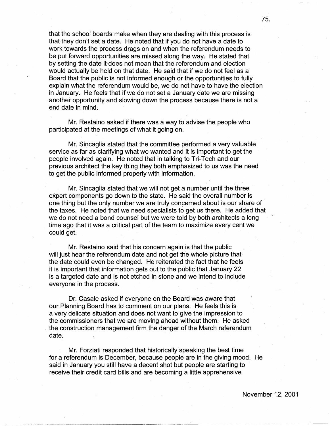that the school boards make when they are dealing with this process is that they don't set a date. He noted that if you do not have a date to work towards the process drags on and when the referendum needs to be put forward opportunities are missed along the way, He stated that by setting the date it does not mean that the referendum and election would actually be held on that date. He said that if we do not feel as a Board that the public is not informed enough or the opportunities to fully explain what the referendum would be, we do not have to have the election in January. He feels that if we do not set a January date we are missing another opportunity and slowing down the process because there is not a end date in mind.

Mr. Restaino asked if there was a way to advise the people who participated at the meetings of what it going on.

Mr. Sincaglia stated that the committee performed a very valuable service as far as clarifying what we wanted and it is important to get the people involved again. He noted that in talking to Tri-Tech and our previous architect the key thing they both emphasized to us was the need to get the public informed properly with information.

Mr. Sincaglia stated that we will not get a number until the three expert components go down to the state. He said the overall number is one thing but the only number we are truly concerned about is our share of the taxes. He noted that we need specialists to get us there. He added that we do not need a bond counsel but we were told by both architects a long time ago that it was a critical part of the team to maximize every cent we could get.

Mr. Restaino said that his concern again is that the public will just hear the referendum date and not get the whole picture that the date could even be changed. He reiterated the fact that he feels it is important that information gets out to the public that January 22 is a targeted date and is not etched in stone and we intend to include everyone in the process.

Dr. Casale asked if everyone on the Board was aware that our Planning Board has to comment on our plans. He feels this is a very delicate situation and does not want to give the impression to the commissioners that we are moving ahead without them. He asked the construction management firm the danger of the March referendum date.

Mr. Forziati responded that historically speaking the best time for a referendum is December, because people are in the giving mood. He said in January you still have a decent shot but people are starting to receive their credit card bills and are becoming a little apprehensive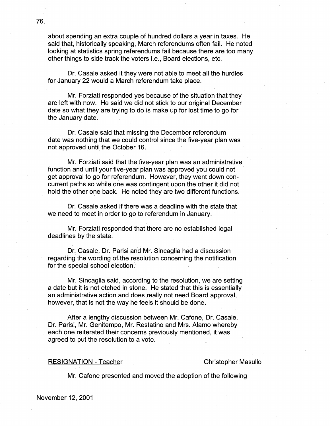about spending an extra couple of hundred dollars a year in taxes. He said that, historically speaking, March referendums often fail. He noted looking at statistics spring referendums fail because there are too many other things to side track the voters i.e., Board elections, etc.

Dr. Casale asked it they were not able to meet all the hurdles for January 22 would a March referendum take place.

Mr. Forziati responded yes because of the situation that they are left with now. He said we did not stick to our original December date so what they are trying to do is make up for lost time to go for the January date.

Dr. Casale said that missing the December referendum date was nothing that we could control since the five-year plan was not approved until the October 16.

Mr. Forziati said that the five-year plan was an administrative function and until your five-year plan was approved you could not get approval to go for referendum. Howeyer, they went down concurrent paths so while one was contingent upon the other it did not hold the other one back. He noted they are two different functions.

Dr. Casale asked if there was a deadline with the state that we need to meet in order to go to referendum in January.

Mr. Forziati responded that there are no established legal deadlines by the state.

Dr. Casale, Dr. Parisi and Mr. Sincaglia had a discussion regarding the wording of the resolution concerning the notification for the special school election:

Mr. Sincaglia said, according to the resolution, we are setting a date but it is not etched in stone. He stated that this is essentially an administrative action and does really not need Board approval, however, that is not the way he feels it should be done.

After a lengthy discussion between Mr. Cafone, Dr. Casale, Dr. Parisi, Mr. Genitempo, Mr. Restatino and Mrs. Alamo whereby each one reiterated their concerns previously mentioned, it was agreed to put the resolution to a vote.

### RESIGNATION - Teacher Christopher Masullo

Mr. Cafone presented and moved the adoption of the following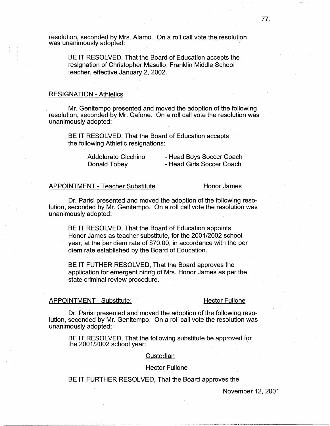resolution, seconded by Mrs. Alamo. On a roll call vote the resolution was unanimously adopted:

BE IT RESOLVED, That the Board of Education accepts the resignation of Christopher Masullo, Franklin Middle School teacher, effective January 2, 2002.

### RESIGNATION - Athletics

Mr. Genitempo presented and moved the adoption of the following resolution, seconded by Mr. Catone. On a roll call vote the resolution was unanimously adopted:

BE IT RESOLVED, That the Board of Education accepts the following Athletic resignations:

> Addolorato Cicchino Donald Tobey

- Head Boys Soccer Coach - Head Girls Soccer Coach

# APPOINTMENT - Teacher Substitute Honor James

Dr. Parisi presented and moved the adoption of the following resolution, seconded by Mr. Genitempo. On a roll call vote the resolution was unanimously adopted: ·

BE IT RESOLVED, That the Board of Education appoints Honor James as teacher substitute, for the 2001/2002 school year, at the per diem rate of \$70.00, in accordance with the per diem rate established by the Board of Education.·

BE IT FUTHER RESOLVED, That the Board approves the. application for emergent hiring of Mrs. Honor James as per the state criminal review procedure.

#### APPOINTMENT - Substitute: Hector Fullone

I -

Dr. Parisi presented and moved the adoption of the following resolution, seconded by Mr. Genitempo. On a roll call vote the resolution was unanimously adopted:

BE IT RESOLVED, That the following substitute be approved for the  $2001/2002$  school year:

## Custodian

## Hector Fullone

# BE IT FURTHER RESOLVED, That the Board approves the

November 12, 2001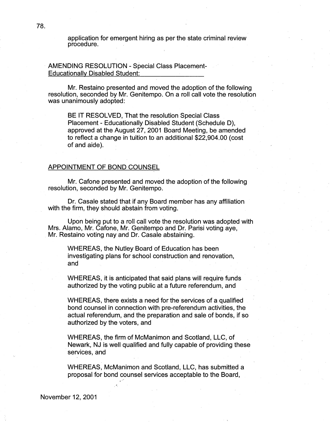application for emergent hiring as per the state criminal review procedure. .

AMENDING RESOLUTION - Special Class Placement-Educationally Disabled Student:

Mr. Restaino presented and moved the adoption of the following resolution, seconded by Mr. Genitempo. On a roll call vote the resolution was unanimously adopted:

BE IT RESOLVED, That the resolution Special Class Placement - Educationally Disabled Student (Schedule D), approved at the August 27, 2001 Board Meeting, be amended to reflect a change in tuition to an additional \$22,904.00 (cost of and aide).

## APPOINTMENT OF BOND COUNSEL

Mr. Cafone presented and moved the adoption of the following resolution, seconded by Mr. Genitempo.

Dr. Casale stated that if any Board member has any affiliation with the firm, they should abstain from voting.

Upon being put to a roll call vote the resolution was adopted with Mrs. Alamo, Mr. Catone, Mr. Genitempo and Dr. Parisi voting aye, Mr. Restaino voting nay and Dr. Casale abstaining.

WHEREAS, the Nutley Board of Education has been investigating plans for school construction and renovation, and

WHEREAS, it is anticipated that said plans will require funds authorized by the voting public at a future referendum, and

WHEREAS, there exists a need for the services of a qualified bond counsel in connection with pre-referendum activities, the actual referendum, and the preparation and sale of bonds, if so authorized by the voters, and

WHEREAS, the firm of McManimon and Scotland, LLC, of Newark, NJ is well qualified and fully capable of providing these services, and

WHEREAS, McManimon and Scotland, LLC, has submitted a proposal for bond counsel services acceptable to the Board,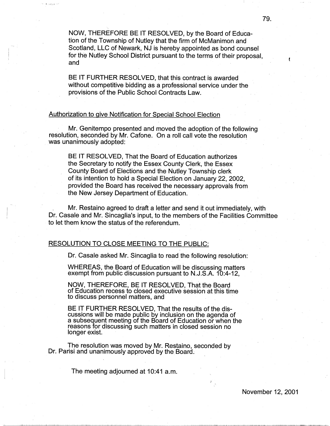NOW, THEREFORE BE IT RESOLVED, by the Board of Education of the Township of Nutley that the firm of McManimon and Scotland, LLC of Newark, NJ is hereby appointed as bond counsel for the Nutley School District pursuant to the terms of their proposal, and

BE IT FURTHER RESOLVED, that this contract is awarded without competitive bidding as a professional service under the provisions of the Public School Contracts Law.

## Authorization to give Notification for Special School Election

·,

Mr. Genitempo presented and moved the adoption of the following resolution, seconded by Mr. Catone. On a roll call vote the resolution was unanimously adopted:

BE IT RESOLVED, That the Board of Education authorizes the Secretary to notify the Essex County Clerk, the Essex County Board of Elections and the Nutley Township clerk of its intention to hold a Special Election on January 22, 2002. provided the Board has received the necessary approvals from the New Jersey Department of Education.

Mr. Restaino agreed to draft a letter and send it out immediately, with Dr. Casale and Mr. Sincaglia's input, to the members of the Facilities Committee to let them know the status of the referendum.

# RESOLUTION TO CLOSE MEETING TO THE PUBLIC:

. . . '

Dr. Casale asked Mr. Sincaglia to read the following resolution:

WHEREAS; the Board of Education will be discussing matters exempt from public discussion pursuant to N.J.S.A. 10:4-12,

NOW, THEREFORE, BE IT RESOLVED, That the Board of Education recess to closed executive session at this time to discuss personnel matters, and

BE IT FURTHER RESOLVED, That the results of the discussions will be made public by inclusion on the agenda of a subsequent meeting of the Board of Education or when the reasons for discussing such matters in closed session no longer exist.

The resolution was moved by Mr. Restaino, seconded by Dr. Parisi and unanimously approved by the Board. .

The meeting adjourned at 10:41 a.m.